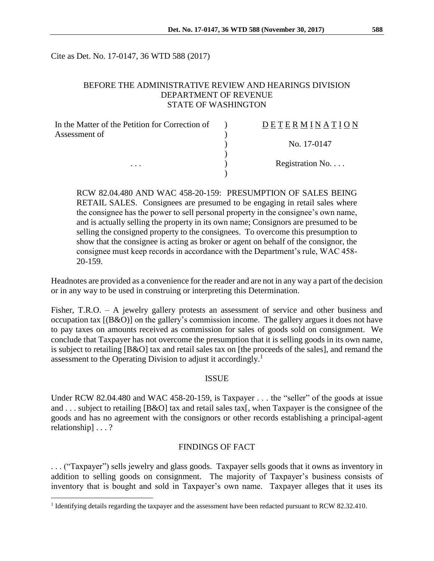Cite as Det. No. 17-0147, 36 WTD 588 (2017)

### BEFORE THE ADMINISTRATIVE REVIEW AND HEARINGS DIVISION DEPARTMENT OF REVENUE STATE OF WASHINGTON

| In the Matter of the Petition for Correction of | DETERMINATION            |
|-------------------------------------------------|--------------------------|
| Assessment of<br>.                              | No. 17-0147              |
|                                                 |                          |
|                                                 | Registration No. $\dots$ |

RCW 82.04.480 AND WAC 458-20-159: PRESUMPTION OF SALES BEING RETAIL SALES. Consignees are presumed to be engaging in retail sales where the consignee has the power to sell personal property in the consignee's own name, and is actually selling the property in its own name; Consignors are presumed to be selling the consigned property to the consignees. To overcome this presumption to show that the consignee is acting as broker or agent on behalf of the consignor, the consignee must keep records in accordance with the Department's rule, WAC 458- 20-159.

Headnotes are provided as a convenience for the reader and are not in any way a part of the decision or in any way to be used in construing or interpreting this Determination.

Fisher, T.R.O. – A jewelry gallery protests an assessment of service and other business and occupation tax [(B&O)] on the gallery's commission income. The gallery argues it does not have to pay taxes on amounts received as commission for sales of goods sold on consignment. We conclude that Taxpayer has not overcome the presumption that it is selling goods in its own name, is subject to retailing [B&O] tax and retail sales tax on [the proceeds of the sales], and remand the assessment to the Operating Division to adjust it accordingly.<sup>1</sup>

#### ISSUE

Under RCW 82.04.480 and WAC 458-20-159, is Taxpayer . . . the "seller" of the goods at issue and . . . subject to retailing [B&O] tax and retail sales tax[, when Taxpayer is the consignee of the goods and has no agreement with the consignors or other records establishing a principal-agent relationship] . . . ?

#### FINDINGS OF FACT

. . . ("Taxpayer") sells jewelry and glass goods. Taxpayer sells goods that it owns as inventory in addition to selling goods on consignment. The majority of Taxpayer's business consists of inventory that is bought and sold in Taxpayer's own name. Taxpayer alleges that it uses its

 $\overline{a}$ 

<sup>&</sup>lt;sup>1</sup> Identifying details regarding the taxpayer and the assessment have been redacted pursuant to RCW 82.32.410.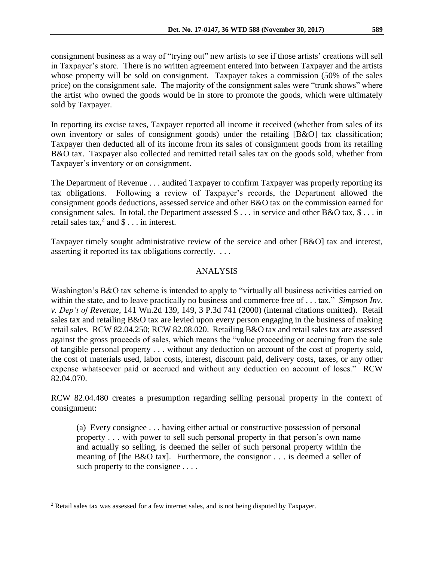consignment business as a way of "trying out" new artists to see if those artists' creations will sell in Taxpayer's store. There is no written agreement entered into between Taxpayer and the artists whose property will be sold on consignment. Taxpayer takes a commission (50% of the sales price) on the consignment sale. The majority of the consignment sales were "trunk shows" where the artist who owned the goods would be in store to promote the goods, which were ultimately sold by Taxpayer.

In reporting its excise taxes, Taxpayer reported all income it received (whether from sales of its own inventory or sales of consignment goods) under the retailing [B&O] tax classification; Taxpayer then deducted all of its income from its sales of consignment goods from its retailing B&O tax. Taxpayer also collected and remitted retail sales tax on the goods sold, whether from Taxpayer's inventory or on consignment.

The Department of Revenue . . . audited Taxpayer to confirm Taxpayer was properly reporting its tax obligations. Following a review of Taxpayer's records, the Department allowed the consignment goods deductions, assessed service and other B&O tax on the commission earned for consignment sales. In total, the Department assessed  $\hat{\mathcal{S}}$ ... in service and other B&O tax,  $\hat{\mathcal{S}}$ ... in retail sales tax,<sup>2</sup> and  $\text{\$} \dots$  in interest.

Taxpayer timely sought administrative review of the service and other [B&O] tax and interest, asserting it reported its tax obligations correctly. . . .

# ANALYSIS

Washington's B&O tax scheme is intended to apply to "virtually all business activities carried on within the state, and to leave practically no business and commerce free of . . . tax." *Simpson Inv. v. Dep't of Revenue*, 141 Wn.2d 139, 149, 3 P.3d 741 (2000) (internal citations omitted). Retail sales tax and retailing B&O tax are levied upon every person engaging in the business of making retail sales. RCW 82.04.250; RCW 82.08.020. Retailing B&O tax and retail sales tax are assessed against the gross proceeds of sales, which means the "value proceeding or accruing from the sale of tangible personal property . . . without any deduction on account of the cost of property sold, the cost of materials used, labor costs, interest, discount paid, delivery costs, taxes, or any other expense whatsoever paid or accrued and without any deduction on account of loses." RCW 82.04.070.

RCW 82.04.480 creates a presumption regarding selling personal property in the context of consignment:

(a) Every consignee . . . having either actual or constructive possession of personal property . . . with power to sell such personal property in that person's own name and actually so selling, is deemed the seller of such personal property within the meaning of [the B&O tax]. Furthermore, the consignor . . . is deemed a seller of such property to the consignee . . . .

 $\overline{a}$ 

<sup>2</sup> Retail sales tax was assessed for a few internet sales, and is not being disputed by Taxpayer.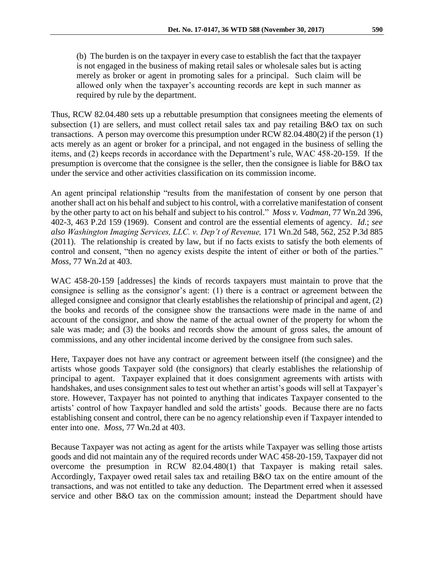(b) The burden is on the taxpayer in every case to establish the fact that the taxpayer is not engaged in the business of making retail sales or wholesale sales but is acting merely as broker or agent in promoting sales for a principal. Such claim will be allowed only when the taxpayer's accounting records are kept in such manner as required by rule by the department.

Thus, RCW 82.04.480 sets up a rebuttable presumption that consignees meeting the elements of subsection (1) are sellers, and must collect retail sales tax and pay retailing B&O tax on such transactions. A person may overcome this presumption under RCW 82.04.480(2) if the person (1) acts merely as an agent or broker for a principal, and not engaged in the business of selling the items, and (2) keeps records in accordance with the Department's rule, WAC 458-20-159. If the presumption is overcome that the consignee is the seller, then the consignee is liable for B&O tax under the service and other activities classification on its commission income.

An agent principal relationship "results from the manifestation of consent by one person that another shall act on his behalf and subject to his control, with a correlative manifestation of consent by the other party to act on his behalf and subject to his control." *Moss v. Vadman*, 77 Wn.2d 396, 402-3, 463 P.2d 159 (1969). Consent and control are the essential elements of agency. *Id.*; *see also Washington Imaging Services, LLC. v. Dep't of Revenue,* 171 Wn.2d 548, 562, 252 P.3d 885 (2011). The relationship is created by law, but if no facts exists to satisfy the both elements of control and consent, "then no agency exists despite the intent of either or both of the parties." *Moss*, 77 Wn.2d at 403.

WAC 458-20-159 [addresses] the kinds of records taxpayers must maintain to prove that the consignee is selling as the consignor's agent: (1) there is a contract or agreement between the alleged consignee and consignor that clearly establishes the relationship of principal and agent, (2) the books and records of the consignee show the transactions were made in the name of and account of the consignor, and show the name of the actual owner of the property for whom the sale was made; and (3) the books and records show the amount of gross sales, the amount of commissions, and any other incidental income derived by the consignee from such sales.

Here, Taxpayer does not have any contract or agreement between itself (the consignee) and the artists whose goods Taxpayer sold (the consignors) that clearly establishes the relationship of principal to agent. Taxpayer explained that it does consignment agreements with artists with handshakes, and uses consignment sales to test out whether an artist's goods will sell at Taxpayer's store. However, Taxpayer has not pointed to anything that indicates Taxpayer consented to the artists' control of how Taxpayer handled and sold the artists' goods. Because there are no facts establishing consent and control, there can be no agency relationship even if Taxpayer intended to enter into one. *Moss*, 77 Wn.2d at 403.

Because Taxpayer was not acting as agent for the artists while Taxpayer was selling those artists goods and did not maintain any of the required records under WAC 458-20-159, Taxpayer did not overcome the presumption in RCW 82.04.480(1) that Taxpayer is making retail sales. Accordingly, Taxpayer owed retail sales tax and retailing B&O tax on the entire amount of the transactions, and was not entitled to take any deduction. The Department erred when it assessed service and other B&O tax on the commission amount; instead the Department should have